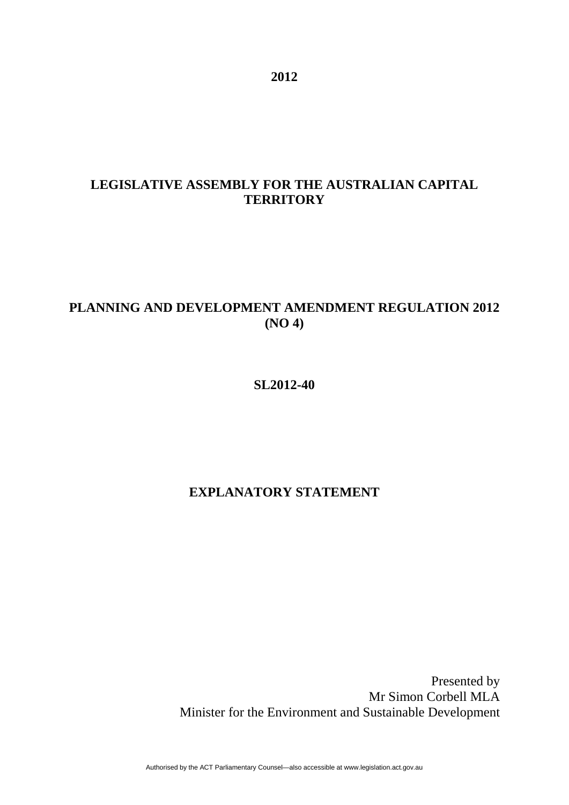# **LEGISLATIVE ASSEMBLY FOR THE AUSTRALIAN CAPITAL TERRITORY**

# **PLANNING AND DEVELOPMENT AMENDMENT REGULATION 2012 (NO 4)**

**SL2012-40** 

## **EXPLANATORY STATEMENT**

Presented by Mr Simon Corbell MLA Minister for the Environment and Sustainable Development

Authorised by the ACT Parliamentary Counsel—also accessible at www.legislation.act.gov.au

**2012**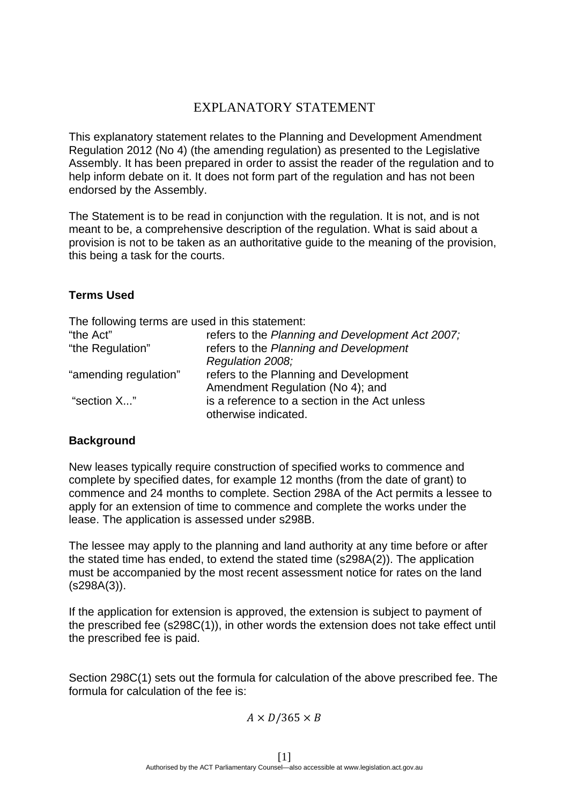# EXPLANATORY STATEMENT

This explanatory statement relates to the Planning and Development Amendment Regulation 2012 (No 4) (the amending regulation) as presented to the Legislative Assembly. It has been prepared in order to assist the reader of the regulation and to help inform debate on it. It does not form part of the regulation and has not been endorsed by the Assembly.

The Statement is to be read in conjunction with the regulation. It is not, and is not meant to be, a comprehensive description of the regulation. What is said about a provision is not to be taken as an authoritative guide to the meaning of the provision, this being a task for the courts.

#### **Terms Used**

The following terms are used in this statement:

| "the Act"             | refers to the Planning and Development Act 2007; |
|-----------------------|--------------------------------------------------|
| "the Regulation"      | refers to the Planning and Development           |
|                       | Regulation 2008;                                 |
| "amending regulation" | refers to the Planning and Development           |
|                       | Amendment Regulation (No 4); and                 |
| "section X"           | is a reference to a section in the Act unless    |
|                       | otherwise indicated.                             |

#### **Background**

New leases typically require construction of specified works to commence and complete by specified dates, for example 12 months (from the date of grant) to commence and 24 months to complete. Section 298A of the Act permits a lessee to apply for an extension of time to commence and complete the works under the lease. The application is assessed under s298B.

The lessee may apply to the planning and land authority at any time before or after the stated time has ended, to extend the stated time (s298A(2)). The application must be accompanied by the most recent assessment notice for rates on the land (s298A(3)).

If the application for extension is approved, the extension is subject to payment of the prescribed fee (s298C(1)), in other words the extension does not take effect until the prescribed fee is paid.

Section 298C(1) sets out the formula for calculation of the above prescribed fee. The formula for calculation of the fee is:

#### $A \times D/365 \times B$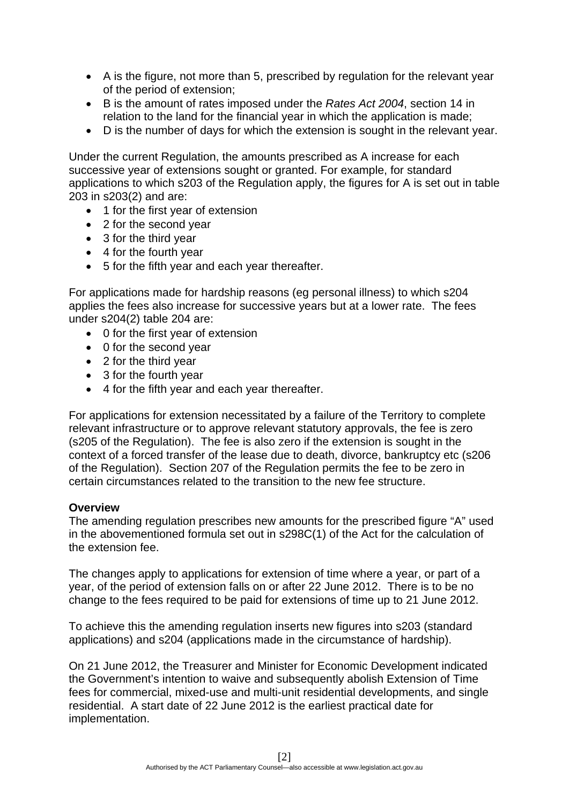- A is the figure, not more than 5, prescribed by regulation for the relevant year of the period of extension;
- B is the amount of rates imposed under the *Rates Act 2004*, section 14 in relation to the land for the financial year in which the application is made;
- D is the number of days for which the extension is sought in the relevant year.

Under the current Regulation, the amounts prescribed as A increase for each successive year of extensions sought or granted. For example, for standard applications to which s203 of the Regulation apply, the figures for A is set out in table 203 in s203(2) and are:

- 1 for the first year of extension
- 2 for the second year
- 3 for the third year
- 4 for the fourth year
- 5 for the fifth year and each year thereafter.

For applications made for hardship reasons (eg personal illness) to which s204 applies the fees also increase for successive years but at a lower rate. The fees under s204(2) table 204 are:

- 0 for the first year of extension
- 0 for the second year
- 2 for the third year
- 3 for the fourth year
- 4 for the fifth year and each year thereafter.

For applications for extension necessitated by a failure of the Territory to complete relevant infrastructure or to approve relevant statutory approvals, the fee is zero (s205 of the Regulation). The fee is also zero if the extension is sought in the context of a forced transfer of the lease due to death, divorce, bankruptcy etc (s206 of the Regulation). Section 207 of the Regulation permits the fee to be zero in certain circumstances related to the transition to the new fee structure.

#### **Overview**

The amending regulation prescribes new amounts for the prescribed figure "A" used in the abovementioned formula set out in s298C(1) of the Act for the calculation of the extension fee.

The changes apply to applications for extension of time where a year, or part of a year, of the period of extension falls on or after 22 June 2012. There is to be no change to the fees required to be paid for extensions of time up to 21 June 2012.

To achieve this the amending regulation inserts new figures into s203 (standard applications) and s204 (applications made in the circumstance of hardship).

On 21 June 2012, the Treasurer and Minister for Economic Development indicated the Government's intention to waive and subsequently abolish Extension of Time fees for commercial, mixed-use and multi-unit residential developments, and single residential. A start date of 22 June 2012 is the earliest practical date for implementation.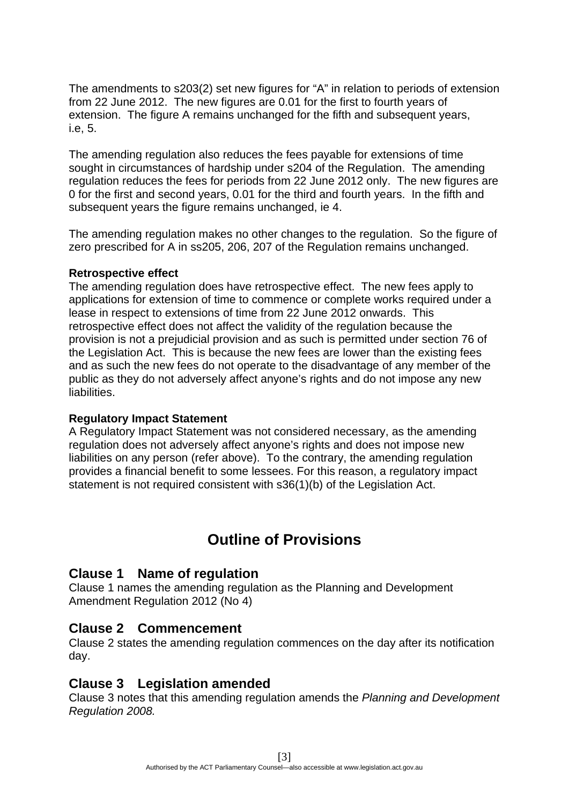The amendments to s203(2) set new figures for "A" in relation to periods of extension from 22 June 2012. The new figures are 0.01 for the first to fourth years of extension. The figure A remains unchanged for the fifth and subsequent years, i.e, 5.

The amending regulation also reduces the fees payable for extensions of time sought in circumstances of hardship under s204 of the Regulation. The amending regulation reduces the fees for periods from 22 June 2012 only. The new figures are 0 for the first and second years, 0.01 for the third and fourth years. In the fifth and subsequent years the figure remains unchanged, ie 4.

The amending regulation makes no other changes to the regulation. So the figure of zero prescribed for A in ss205, 206, 207 of the Regulation remains unchanged.

#### **Retrospective effect**

The amending regulation does have retrospective effect. The new fees apply to applications for extension of time to commence or complete works required under a lease in respect to extensions of time from 22 June 2012 onwards. This retrospective effect does not affect the validity of the regulation because the provision is not a prejudicial provision and as such is permitted under section 76 of the Legislation Act. This is because the new fees are lower than the existing fees and as such the new fees do not operate to the disadvantage of any member of the public as they do not adversely affect anyone's rights and do not impose any new liabilities.

#### **Regulatory Impact Statement**

A Regulatory Impact Statement was not considered necessary, as the amending regulation does not adversely affect anyone's rights and does not impose new liabilities on any person (refer above). To the contrary, the amending regulation provides a financial benefit to some lessees. For this reason, a regulatory impact statement is not required consistent with s36(1)(b) of the Legislation Act.

# **Outline of Provisions**

## **Clause 1 Name of regulation**

Clause 1 names the amending regulation as the Planning and Development Amendment Regulation 2012 (No 4)

## **Clause 2 Commencement**

Clause 2 states the amending regulation commences on the day after its notification day.

## **Clause 3 Legislation amended**

Clause 3 notes that this amending regulation amends the *Planning and Development Regulation 2008.*